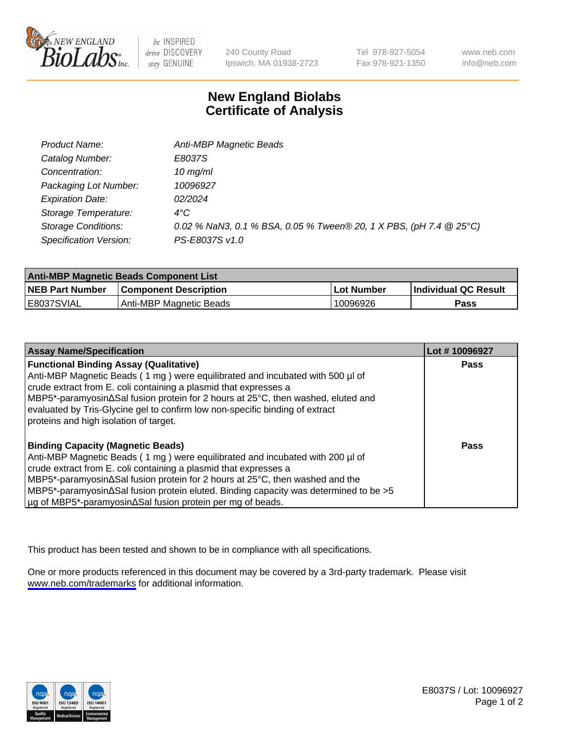

be INSPIRED drive DISCOVERY stay GENUINE

240 County Road Ipswich, MA 01938-2723 Tel 978-927-5054 Fax 978-921-1350

www.neb.com info@neb.com

## **New England Biolabs Certificate of Analysis**

| Product Name:              | Anti-MBP Magnetic Beads                                            |
|----------------------------|--------------------------------------------------------------------|
| Catalog Number:            | E8037S                                                             |
| Concentration:             | $10$ mg/ml                                                         |
| Packaging Lot Number:      | 10096927                                                           |
| <b>Expiration Date:</b>    | 02/2024                                                            |
| Storage Temperature:       | $4^{\circ}$ C                                                      |
| <b>Storage Conditions:</b> | 0.02 % NaN3, 0.1 % BSA, 0.05 % Tween® 20, 1 X PBS, (pH 7.4 @ 25°C) |
| Specification Version:     | PS-E8037S v1.0                                                     |

| <b>Anti-MBP Magnetic Beads Component List</b> |                              |            |                      |  |
|-----------------------------------------------|------------------------------|------------|----------------------|--|
| <b>NEB Part Number</b>                        | <b>Component Description</b> | Lot Number | Individual QC Result |  |
| E8037SVIAL                                    | Anti-MBP Magnetic Beads      | 10096926   | Pass                 |  |

| <b>Assay Name/Specification</b>                                                                       | Lot #10096927 |
|-------------------------------------------------------------------------------------------------------|---------------|
| <b>Functional Binding Assay (Qualitative)</b>                                                         | <b>Pass</b>   |
| Anti-MBP Magnetic Beads (1 mg) were equilibrated and incubated with 500 µl of                         |               |
| crude extract from E. coli containing a plasmid that expresses a                                      |               |
| NBP5*-paramyosin∆Sal fusion protein for 2 hours at 25°C, then washed, eluted and                      |               |
| evaluated by Tris-Glycine gel to confirm low non-specific binding of extract                          |               |
| proteins and high isolation of target.                                                                |               |
| <b>Binding Capacity (Magnetic Beads)</b>                                                              | Pass          |
| Anti-MBP Magnetic Beads (1 mg) were equilibrated and incubated with 200 µl of                         |               |
| crude extract from E. coli containing a plasmid that expresses a                                      |               |
| $\vert$ MBP5*-paramyosin $\Delta$ Sal fusion protein for 2 hours at 25°C, then washed and the         |               |
| $\vert$ MBP5*-paramyosin $\Delta$ Sal fusion protein eluted. Binding capacity was determined to be >5 |               |
| µg of MBP5*-paramyosin∆Sal fusion protein per mg of beads.                                            |               |

This product has been tested and shown to be in compliance with all specifications.

One or more products referenced in this document may be covered by a 3rd-party trademark. Please visit <www.neb.com/trademarks>for additional information.